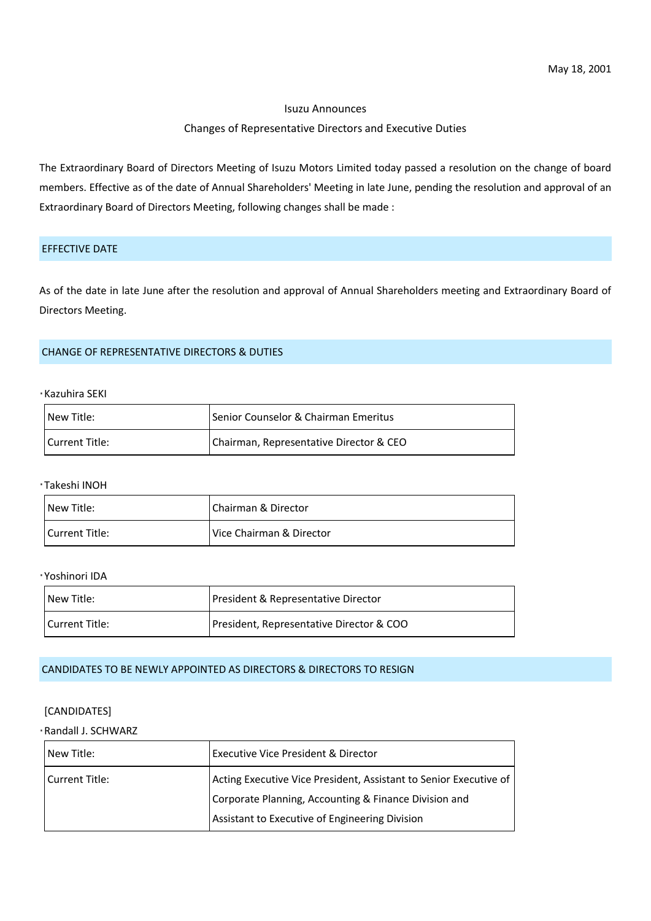#### Isuzu Announces

#### Changes of Representative Directors and Executive Duties

The Extraordinary Board of Directors Meeting of Isuzu Motors Limited today passed a resolution on the change of board members. Effective as of the date of Annual Shareholders' Meeting in late June, pending the resolution and approval of an Extraordinary Board of Directors Meeting, following changes shall be made :

## EFFECTIVE DATE

As of the date in late June after the resolution and approval of Annual Shareholders meeting and Extraordinary Board of Directors Meeting.

## CHANGE OF REPRESENTATIVE DIRECTORS & DUTIES

## Kazuhira SEKI

| New Title:            | Senior Counselor & Chairman Emeritus     |
|-----------------------|------------------------------------------|
| Current Title:        | Chairman, Representative Director & CEO  |
|                       |                                          |
| ∙Takeshi INOH         |                                          |
| New Title:            | Chairman & Director                      |
| Current Title:        | Vice Chairman & Director                 |
|                       |                                          |
| ∙Yoshinori IDA        |                                          |
| New Title:            | President & Representative Director      |
| <b>Current Title:</b> | President, Representative Director & COO |

#### CANDIDATES TO BE NEWLY APPOINTED AS DIRECTORS & DIRECTORS TO RESIGN

## [CANDIDATES]

| Randall J. SCHWARZ |                                                                   |
|--------------------|-------------------------------------------------------------------|
| New Title:         | Executive Vice President & Director                               |
| Current Title:     | Acting Executive Vice President, Assistant to Senior Executive of |
|                    | Corporate Planning, Accounting & Finance Division and             |
|                    | Assistant to Executive of Engineering Division                    |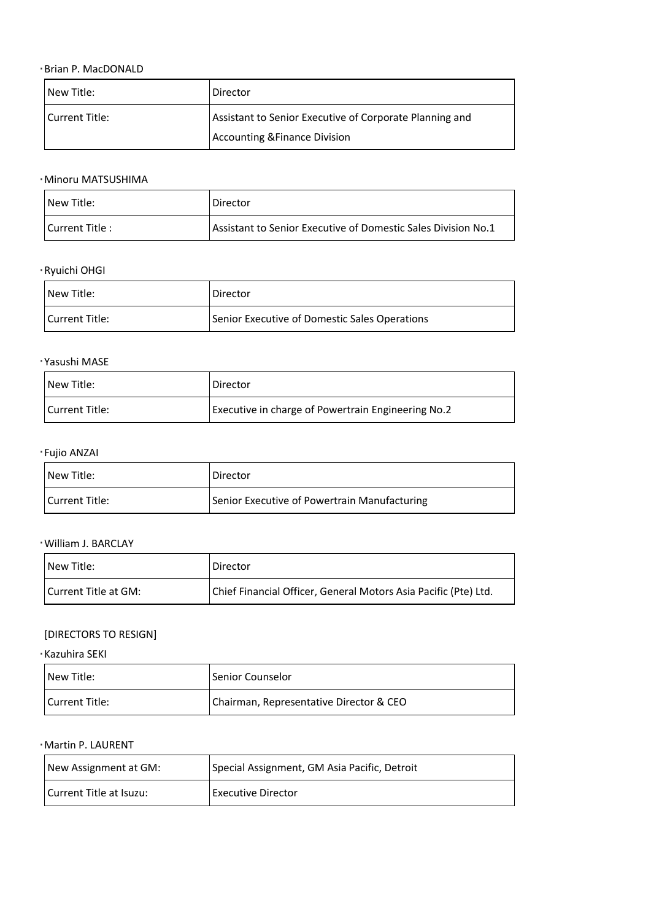# Brian P. MacDONALD

| New Title:                | Director                                                        |
|---------------------------|-----------------------------------------------------------------|
| <b>Current Title:</b>     | Assistant to Senior Executive of Corporate Planning and         |
|                           | <b>Accounting &amp; Finance Division</b>                        |
|                           |                                                                 |
| Minoru MATSUSHIMA         |                                                                 |
| New Title:                | Director                                                        |
| Current Title:            | Assistant to Senior Executive of Domestic Sales Division No.1   |
| Ryuichi OHGI              |                                                                 |
| New Title:                | Director                                                        |
| <b>Current Title:</b>     | Senior Executive of Domestic Sales Operations                   |
| Yasushi MASE              |                                                                 |
| New Title:                | Director                                                        |
| <b>Current Title:</b>     | Executive in charge of Powertrain Engineering No.2              |
|                           |                                                                 |
| Fujio ANZAI<br>New Title: |                                                                 |
|                           | Director                                                        |
| <b>Current Title:</b>     | Senior Executive of Powertrain Manufacturing                    |
| William J. BARCLAY        |                                                                 |
| New Title:                | Director                                                        |
| Current Title at GM:      | Chief Financial Officer, General Motors Asia Pacific (Pte) Ltd. |
| [DIRECTORS TO RESIGN]     |                                                                 |
| Kazuhira SEKI             |                                                                 |
| New Title:                | Senior Counselor                                                |
| <b>Current Title:</b>     | Chairman, Representative Director & CEO                         |
|                           |                                                                 |
| Martin P. LAURENT         |                                                                 |
| New Assignment at GM:     | Special Assignment, GM Asia Pacific, Detroit                    |
| Current Title at Isuzu:   | <b>Executive Director</b>                                       |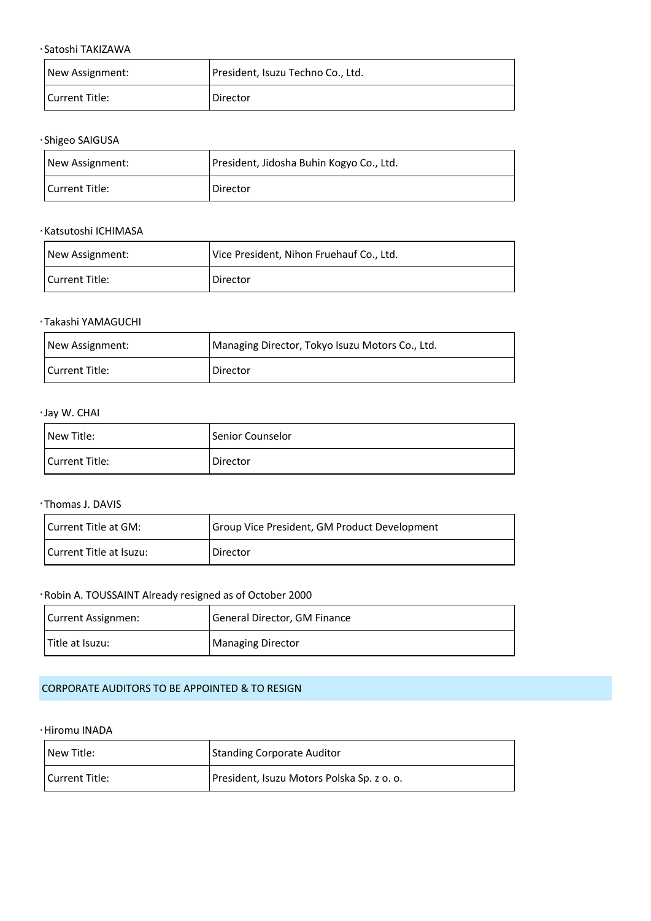| ·Satoshi TAKIZAWA                                      |                                                 |
|--------------------------------------------------------|-------------------------------------------------|
| New Assignment:                                        | President, Isuzu Techno Co., Ltd.               |
| <b>Current Title:</b>                                  | Director                                        |
| ·Shigeo SAIGUSA                                        |                                                 |
| New Assignment:                                        | President, Jidosha Buhin Kogyo Co., Ltd.        |
| <b>Current Title:</b>                                  | Director                                        |
| <b>Katsutoshi ICHIMASA</b>                             |                                                 |
| New Assignment:                                        | Vice President, Nihon Fruehauf Co., Ltd.        |
| <b>Current Title:</b>                                  | Director                                        |
| ·Takashi YAMAGUCHI                                     |                                                 |
| New Assignment:                                        | Managing Director, Tokyo Isuzu Motors Co., Ltd. |
| <b>Current Title:</b>                                  | Director                                        |
| · Jay W. CHAI                                          |                                                 |
| New Title:                                             | Senior Counselor                                |
| <b>Current Title:</b>                                  | Director                                        |
| ·Thomas J. DAVIS                                       |                                                 |
| Current Title at GM:                                   | Group Vice President, GM Product Development    |
| Current Title at Isuzu:                                | Director                                        |
| Robin A. TOUSSAINT Already resigned as of October 2000 |                                                 |
| Current Assignmen:                                     | General Director, GM Finance                    |
| Title at Isuzu:                                        | <b>Managing Director</b>                        |
|                                                        |                                                 |

# CORPORATE AUDITORS TO BE APPOINTED & TO RESIGN

#### Hiromu INADA

| New Title:     | <b>Standing Corporate Auditor</b>          |
|----------------|--------------------------------------------|
| Current Title: | President, Isuzu Motors Polska Sp. z o. o. |